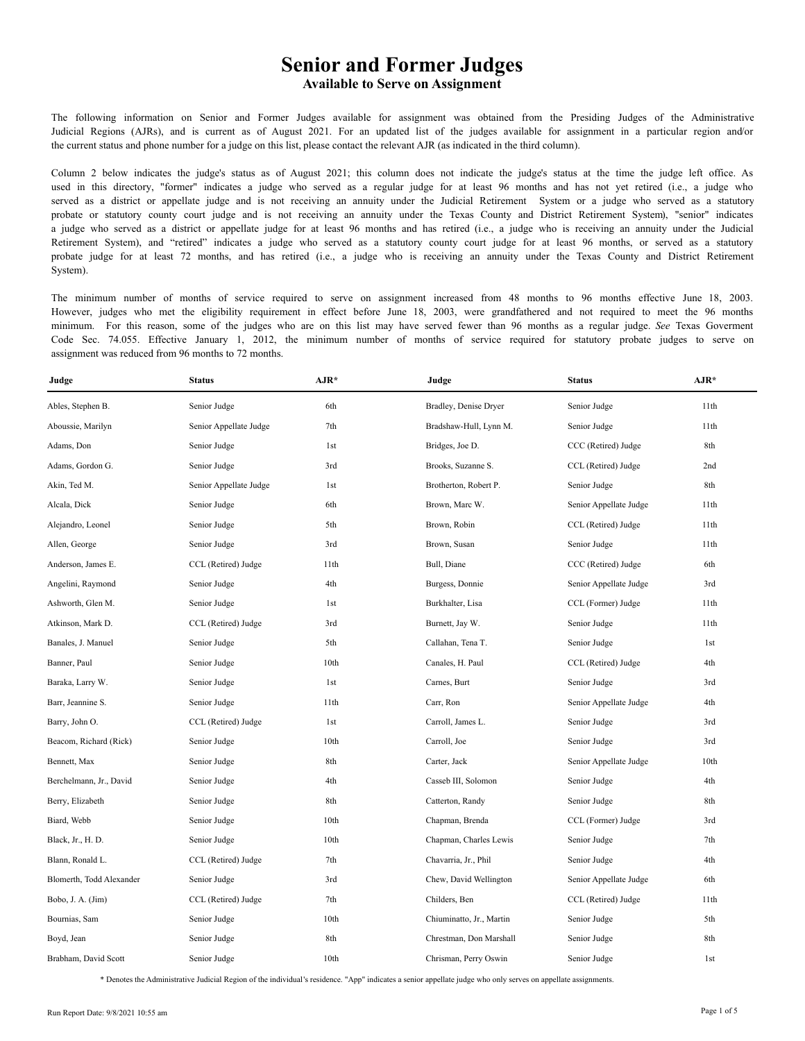The following information on Senior and Former Judges available for assignment was obtained from the Presiding Judges of the Administrative Judicial Regions (AJRs), and is current as of August 2021. For an updated list of the judges available for assignment in a particular region and/or the current status and phone number for a judge on this list, please contact the relevant AJR (as indicated in the third column).

Column 2 below indicates the judge's status as of August 2021; this column does not indicate the judge's status at the time the judge left office. As used in this directory, "former" indicates a judge who served as a regular judge for at least 96 months and has not yet retired (i.e., a judge who served as a district or appellate judge and is not receiving an annuity under the Judicial Retirement System or a judge who served as a statutory probate or statutory county court judge and is not receiving an annuity under the Texas County and District Retirement System), "senior" indicates a judge who served as a district or appellate judge for at least 96 months and has retired (i.e., a judge who is receiving an annuity under the Judicial Retirement System), and "retired" indicates a judge who served as a statutory county court judge for at least 96 months, or served as a statutory probate judge for at least 72 months, and has retired (i.e., a judge who is receiving an annuity under the Texas County and District Retirement System).

The minimum number of months of service required to serve on assignment increased from 48 months to 96 months effective June 18, 2003. However, judges who met the eligibility requirement in effect before June 18, 2003, were grandfathered and not required to meet the 96 months minimum. For this reason, some of the judges who are on this list may have served fewer than 96 months as a regular judge. *See* Texas Goverment Code Sec. 74.055. Effective January 1, 2012, the minimum number of months of service required for statutory probate judges to serve on assignment was reduced from 96 months to 72 months.

| Judge                    | <b>Status</b>          | $AJR*$ | Judge                    | <b>Status</b>          | $AJR*$ |
|--------------------------|------------------------|--------|--------------------------|------------------------|--------|
| Ables, Stephen B.        | Senior Judge           | 6th    | Bradley, Denise Dryer    | Senior Judge           | 11th   |
| Aboussie, Marilyn        | Senior Appellate Judge | 7th    | Bradshaw-Hull, Lynn M.   | Senior Judge           | 11th   |
| Adams, Don               | Senior Judge           | 1st    | Bridges, Joe D.          | CCC (Retired) Judge    | 8th    |
| Adams, Gordon G.         | Senior Judge           | 3rd    | Brooks, Suzanne S.       | CCL (Retired) Judge    | 2nd    |
| Akin, Ted M.             | Senior Appellate Judge | 1st    | Brotherton, Robert P.    | Senior Judge           | 8th    |
| Alcala, Dick             | Senior Judge           | 6th    | Brown, Marc W.           | Senior Appellate Judge | 11th   |
| Alejandro, Leonel        | Senior Judge           | 5th    | Brown, Robin             | CCL (Retired) Judge    | 11th   |
| Allen, George            | Senior Judge           | 3rd    | Brown, Susan             | Senior Judge           | 11th   |
| Anderson, James E.       | CCL (Retired) Judge    | 11th   | Bull, Diane              | CCC (Retired) Judge    | 6th    |
| Angelini, Raymond        | Senior Judge           | 4th    | Burgess, Donnie          | Senior Appellate Judge | 3rd    |
| Ashworth, Glen M.        | Senior Judge           | 1st    | Burkhalter, Lisa         | CCL (Former) Judge     | 11th   |
| Atkinson, Mark D.        | CCL (Retired) Judge    | 3rd    | Burnett, Jay W.          | Senior Judge           | 11th   |
| Banales, J. Manuel       | Senior Judge           | 5th    | Callahan, Tena T.        | Senior Judge           | 1st    |
| Banner, Paul             | Senior Judge           | 10th   | Canales, H. Paul         | CCL (Retired) Judge    | 4th    |
| Baraka, Larry W.         | Senior Judge           | 1st    | Carnes, Burt             | Senior Judge           | 3rd    |
| Barr, Jeannine S.        | Senior Judge           | 11th   | Carr, Ron                | Senior Appellate Judge | 4th    |
| Barry, John O.           | CCL (Retired) Judge    | 1st    | Carroll, James L.        | Senior Judge           | 3rd    |
| Beacom, Richard (Rick)   | Senior Judge           | 10th   | Carroll, Joe             | Senior Judge           | 3rd    |
| Bennett, Max             | Senior Judge           | 8th    | Carter, Jack             | Senior Appellate Judge | 10th   |
| Berchelmann, Jr., David  | Senior Judge           | 4th    | Casseb III, Solomon      | Senior Judge           | 4th    |
| Berry, Elizabeth         | Senior Judge           | 8th    | Catterton, Randy         | Senior Judge           | 8th    |
| Biard, Webb              | Senior Judge           | 10th   | Chapman, Brenda          | CCL (Former) Judge     | 3rd    |
| Black, Jr., H. D.        | Senior Judge           | 10th   | Chapman, Charles Lewis   | Senior Judge           | 7th    |
| Blann, Ronald L.         | CCL (Retired) Judge    | 7th    | Chavarria, Jr., Phil     | Senior Judge           | 4th    |
| Blomerth, Todd Alexander | Senior Judge           | 3rd    | Chew, David Wellington   | Senior Appellate Judge | 6th    |
| Bobo, J. A. (Jim)        | CCL (Retired) Judge    | 7th    | Childers, Ben            | CCL (Retired) Judge    | 11th   |
| Bournias, Sam            | Senior Judge           | 10th   | Chiuminatto, Jr., Martin | Senior Judge           | 5th    |
| Boyd, Jean               | Senior Judge           | 8th    | Chrestman, Don Marshall  | Senior Judge           | 8th    |
| Brabham, David Scott     | Senior Judge           | 10th   | Chrisman, Perry Oswin    | Senior Judge           | 1st    |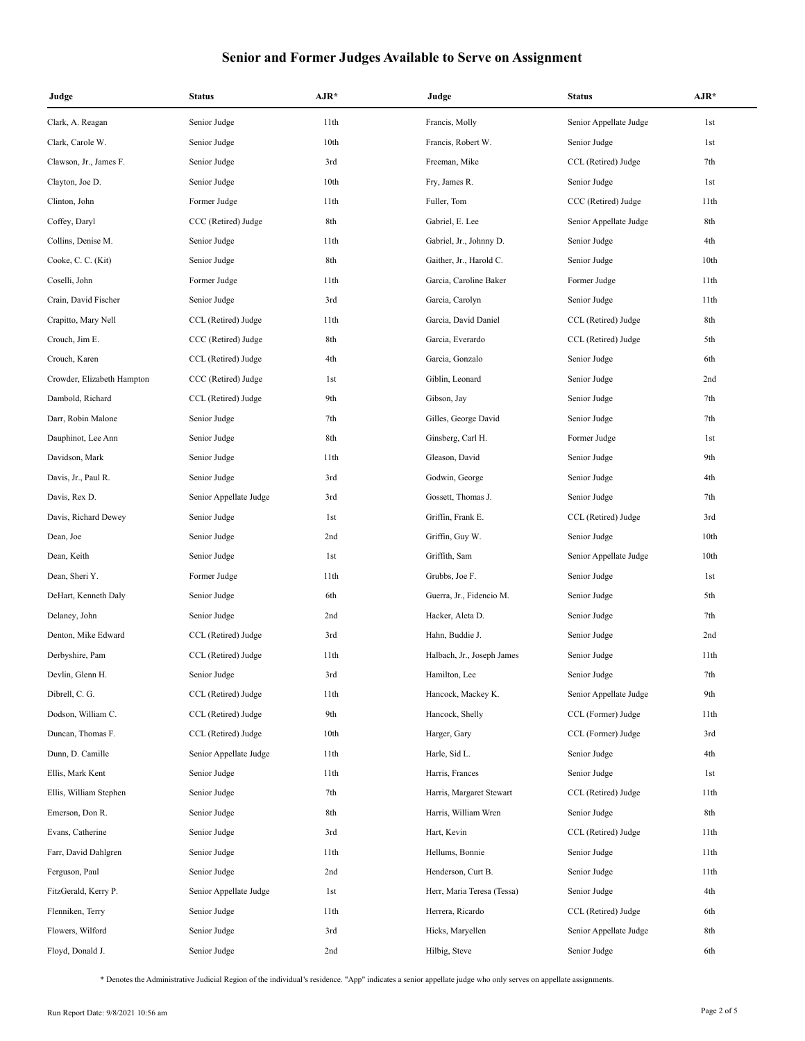| Judge                      | <b>Status</b>          | $AJR*$ | Judge                      | <b>Status</b>          | $AJR*$ |
|----------------------------|------------------------|--------|----------------------------|------------------------|--------|
| Clark, A. Reagan           | Senior Judge           | 11th   | Francis, Molly             | Senior Appellate Judge | 1st    |
| Clark, Carole W.           | Senior Judge           | 10th   | Francis, Robert W.         | Senior Judge           | 1st    |
| Clawson, Jr., James F.     | Senior Judge           | 3rd    | Freeman, Mike              | CCL (Retired) Judge    | 7th    |
| Clayton, Joe D.            | Senior Judge           | 10th   | Fry, James R.              | Senior Judge           | 1st    |
| Clinton, John              | Former Judge           | 11th   | Fuller, Tom                | CCC (Retired) Judge    | 11th   |
| Coffey, Daryl              | CCC (Retired) Judge    | 8th    | Gabriel, E. Lee            | Senior Appellate Judge | 8th    |
| Collins, Denise M.         | Senior Judge           | 11th   | Gabriel, Jr., Johnny D.    | Senior Judge           | 4th    |
| Cooke, C. C. (Kit)         | Senior Judge           | 8th    | Gaither, Jr., Harold C.    | Senior Judge           | 10th   |
| Coselli, John              | Former Judge           | 11th   | Garcia, Caroline Baker     | Former Judge           | 11th   |
| Crain, David Fischer       | Senior Judge           | 3rd    | Garcia, Carolyn            | Senior Judge           | 11th   |
| Crapitto, Mary Nell        | CCL (Retired) Judge    | 11th   | Garcia, David Daniel       | CCL (Retired) Judge    | 8th    |
| Crouch, Jim E.             | CCC (Retired) Judge    | 8th    | Garcia, Everardo           | CCL (Retired) Judge    | 5th    |
| Crouch, Karen              | CCL (Retired) Judge    | 4th    | Garcia, Gonzalo            | Senior Judge           | 6th    |
| Crowder, Elizabeth Hampton | CCC (Retired) Judge    | 1st    | Giblin, Leonard            | Senior Judge           | 2nd    |
| Dambold, Richard           | CCL (Retired) Judge    | 9th    | Gibson, Jay                | Senior Judge           | 7th    |
| Darr, Robin Malone         | Senior Judge           | 7th    | Gilles, George David       | Senior Judge           | 7th    |
| Dauphinot, Lee Ann         | Senior Judge           | 8th    | Ginsberg, Carl H.          | Former Judge           | 1st    |
| Davidson, Mark             | Senior Judge           | 11th   | Gleason, David             | Senior Judge           | 9th    |
| Davis, Jr., Paul R.        | Senior Judge           | 3rd    | Godwin, George             | Senior Judge           | 4th    |
| Davis, Rex D.              | Senior Appellate Judge | 3rd    | Gossett, Thomas J.         | Senior Judge           | 7th    |
| Davis, Richard Dewey       | Senior Judge           | 1st    | Griffin, Frank E.          | CCL (Retired) Judge    | 3rd    |
| Dean, Joe                  | Senior Judge           | 2nd    | Griffin, Guy W.            | Senior Judge           | 10th   |
| Dean, Keith                | Senior Judge           | 1st    | Griffith, Sam              | Senior Appellate Judge | 10th   |
| Dean, Sheri Y.             | Former Judge           | 11th   | Grubbs, Joe F.             | Senior Judge           | 1st    |
| DeHart, Kenneth Daly       | Senior Judge           | 6th    | Guerra, Jr., Fidencio M.   | Senior Judge           | 5th    |
| Delaney, John              | Senior Judge           | 2nd    | Hacker, Aleta D.           | Senior Judge           | 7th    |
| Denton, Mike Edward        | CCL (Retired) Judge    | 3rd    | Hahn, Buddie J.            | Senior Judge           | 2nd    |
| Derbyshire, Pam            | CCL (Retired) Judge    | 11th   | Halbach, Jr., Joseph James | Senior Judge           | 11th   |
| Devlin, Glenn H.           | Senior Judge           | 3rd    | Hamilton, Lee              | Senior Judge           | 7th    |
| Dibrell, C. G.             | CCL (Retired) Judge    | 11th   | Hancock, Mackey K.         | Senior Appellate Judge | 9th    |
| Dodson, William C.         | CCL (Retired) Judge    | 9th    | Hancock, Shelly            | CCL (Former) Judge     | 11th   |
| Duncan, Thomas F.          | CCL (Retired) Judge    | 10th   | Harger, Gary               | CCL (Former) Judge     | 3rd    |
| Dunn, D. Camille           | Senior Appellate Judge | 11th   | Harle, Sid L.              | Senior Judge           | 4th    |
| Ellis, Mark Kent           | Senior Judge           | 11th   | Harris, Frances            | Senior Judge           | 1st    |
| Ellis, William Stephen     | Senior Judge           | 7th    | Harris, Margaret Stewart   | CCL (Retired) Judge    | 11th   |
| Emerson, Don R.            | Senior Judge           | 8th    | Harris, William Wren       | Senior Judge           | 8th    |
| Evans, Catherine           | Senior Judge           | 3rd    | Hart, Kevin                | CCL (Retired) Judge    | 11th   |
| Farr, David Dahlgren       | Senior Judge           | 11th   | Hellums, Bonnie            | Senior Judge           | 11th   |
| Ferguson, Paul             | Senior Judge           | 2nd    | Henderson, Curt B.         | Senior Judge           | 11th   |
| FitzGerald, Kerry P.       | Senior Appellate Judge | 1st    | Herr, Maria Teresa (Tessa) | Senior Judge           | 4th    |
| Flenniken, Terry           | Senior Judge           | 11th   | Herrera, Ricardo           | CCL (Retired) Judge    | 6th    |
| Flowers, Wilford           | Senior Judge           | 3rd    | Hicks, Maryellen           | Senior Appellate Judge | 8th    |
| Floyd, Donald J.           | Senior Judge           | 2nd    | Hilbig, Steve              | Senior Judge           | 6th    |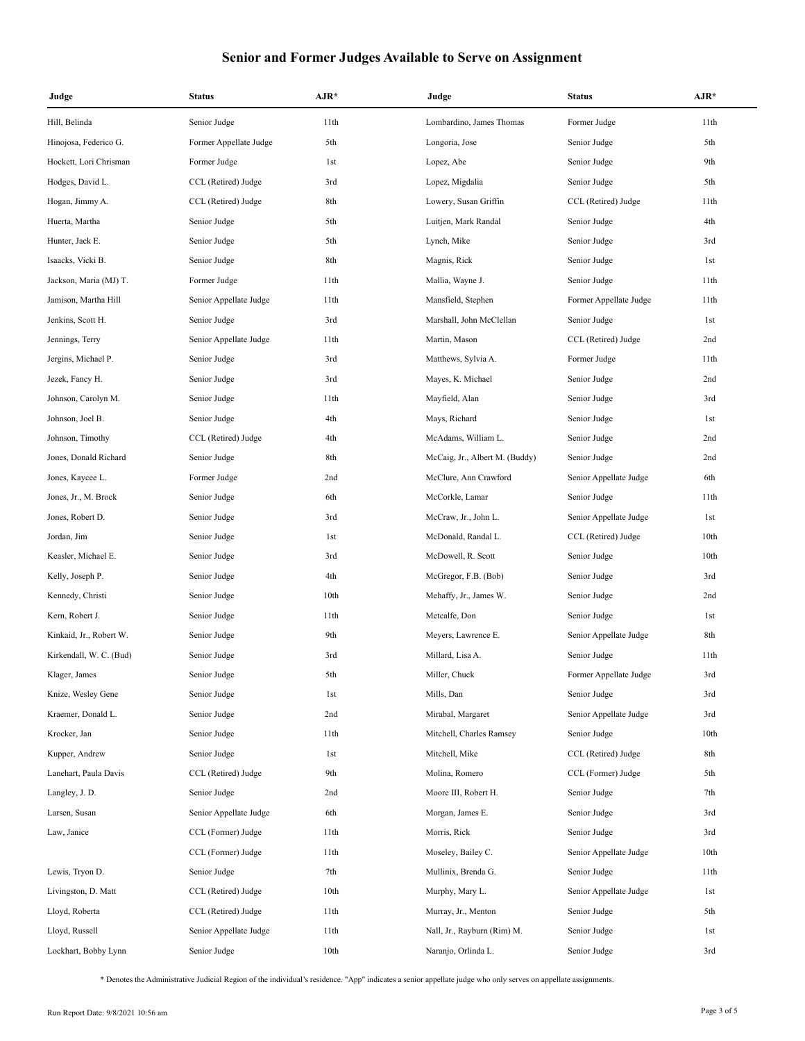| Judge                   | <b>Status</b>          | $AJR*$ | Judge                          | <b>Status</b>          | $AJR*$ |
|-------------------------|------------------------|--------|--------------------------------|------------------------|--------|
| Hill, Belinda           | Senior Judge           | 11th   | Lombardino, James Thomas       | Former Judge           | 11th   |
| Hinojosa, Federico G.   | Former Appellate Judge | 5th    | Longoria, Jose                 | Senior Judge           | 5th    |
| Hockett, Lori Chrisman  | Former Judge           | 1st    | Lopez, Abe                     | Senior Judge           | 9th    |
| Hodges, David L.        | CCL (Retired) Judge    | 3rd    | Lopez, Migdalia                | Senior Judge           | 5th    |
| Hogan, Jimmy A.         | CCL (Retired) Judge    | 8th    | Lowery, Susan Griffin          | CCL (Retired) Judge    | 11th   |
| Huerta, Martha          | Senior Judge           | 5th    | Luitjen, Mark Randal           | Senior Judge           | 4th    |
| Hunter, Jack E.         | Senior Judge           | 5th    | Lynch, Mike                    | Senior Judge           | 3rd    |
| Isaacks, Vicki B.       | Senior Judge           | 8th    | Magnis, Rick                   | Senior Judge           | 1st    |
| Jackson, Maria (MJ) T.  | Former Judge           | 11th   | Mallia, Wayne J.               | Senior Judge           | 11th   |
| Jamison, Martha Hill    | Senior Appellate Judge | 11th   | Mansfield, Stephen             | Former Appellate Judge | 11th   |
| Jenkins, Scott H.       | Senior Judge           | 3rd    | Marshall, John McClellan       | Senior Judge           | 1st    |
| Jennings, Terry         | Senior Appellate Judge | 11th   | Martin, Mason                  | CCL (Retired) Judge    | 2nd    |
| Jergins, Michael P.     | Senior Judge           | 3rd    | Matthews, Sylvia A.            | Former Judge           | 11th   |
| Jezek, Fancy H.         | Senior Judge           | 3rd    | Mayes, K. Michael              | Senior Judge           | 2nd    |
| Johnson, Carolyn M.     | Senior Judge           | 11th   | Mayfield, Alan                 | Senior Judge           | 3rd    |
| Johnson, Joel B.        | Senior Judge           | 4th    | Mays, Richard                  | Senior Judge           | 1st    |
| Johnson, Timothy        | CCL (Retired) Judge    | 4th    | McAdams, William L.            | Senior Judge           | 2nd    |
| Jones, Donald Richard   | Senior Judge           | 8th    | McCaig, Jr., Albert M. (Buddy) | Senior Judge           | 2nd    |
| Jones, Kaycee L.        | Former Judge           | 2nd    | McClure, Ann Crawford          | Senior Appellate Judge | 6th    |
| Jones, Jr., M. Brock    | Senior Judge           | 6th    | McCorkle, Lamar                | Senior Judge           | 11th   |
| Jones, Robert D.        | Senior Judge           | 3rd    | McCraw, Jr., John L.           | Senior Appellate Judge | 1st    |
| Jordan, Jim             | Senior Judge           | 1st    | McDonald, Randal L.            | CCL (Retired) Judge    | 10th   |
| Keasler, Michael E.     | Senior Judge           | 3rd    | McDowell, R. Scott             | Senior Judge           | 10th   |
| Kelly, Joseph P.        | Senior Judge           | 4th    | McGregor, F.B. (Bob)           | Senior Judge           | 3rd    |
| Kennedy, Christi        | Senior Judge           | 10th   | Mehaffy, Jr., James W.         | Senior Judge           | 2nd    |
| Kern, Robert J.         | Senior Judge           | 11th   | Metcalfe, Don                  | Senior Judge           | 1st    |
| Kinkaid, Jr., Robert W. | Senior Judge           | 9th    | Meyers, Lawrence E.            | Senior Appellate Judge | 8th    |
| Kirkendall, W. C. (Bud) | Senior Judge           | 3rd    | Millard, Lisa A.               | Senior Judge           | 11th   |
| Klager, James           | Senior Judge           | 5th    | Miller, Chuck                  | Former Appellate Judge | 3rd    |
| Knize, Wesley Gene      | Senior Judge           | 1st    | Mills, Dan                     | Senior Judge           | 3rd    |
| Kraemer, Donald L.      | Senior Judge           | 2nd    | Mirabal, Margaret              | Senior Appellate Judge | 3rd    |
| Krocker, Jan            | Senior Judge           | 11th   | Mitchell, Charles Ramsey       | Senior Judge           | 10th   |
| Kupper, Andrew          | Senior Judge           | 1st    | Mitchell, Mike                 | CCL (Retired) Judge    | 8th    |
| Lanehart, Paula Davis   | CCL (Retired) Judge    | 9th    | Molina, Romero                 | CCL (Former) Judge     | 5th    |
| Langley, J. D.          | Senior Judge           | 2nd    | Moore III, Robert H.           | Senior Judge           | 7th    |
| Larsen, Susan           | Senior Appellate Judge | 6th    | Morgan, James E.               | Senior Judge           | 3rd    |
| Law, Janice             | CCL (Former) Judge     | 11th   | Morris, Rick                   | Senior Judge           | 3rd    |
|                         | CCL (Former) Judge     | 11th   | Moseley, Bailey C.             | Senior Appellate Judge | 10th   |
| Lewis, Tryon D.         | Senior Judge           | 7th    | Mullinix, Brenda G.            | Senior Judge           | 11th   |
| Livingston, D. Matt     | CCL (Retired) Judge    | 10th   | Murphy, Mary L.                | Senior Appellate Judge | 1st    |
| Lloyd, Roberta          | CCL (Retired) Judge    | 11th   | Murray, Jr., Menton            | Senior Judge           | 5th    |
| Lloyd, Russell          | Senior Appellate Judge | 11th   | Nall, Jr., Rayburn (Rim) M.    | Senior Judge           | 1st    |
| Lockhart, Bobby Lynn    | Senior Judge           | 10th   | Naranjo, Orlinda L.            | Senior Judge           | 3rd    |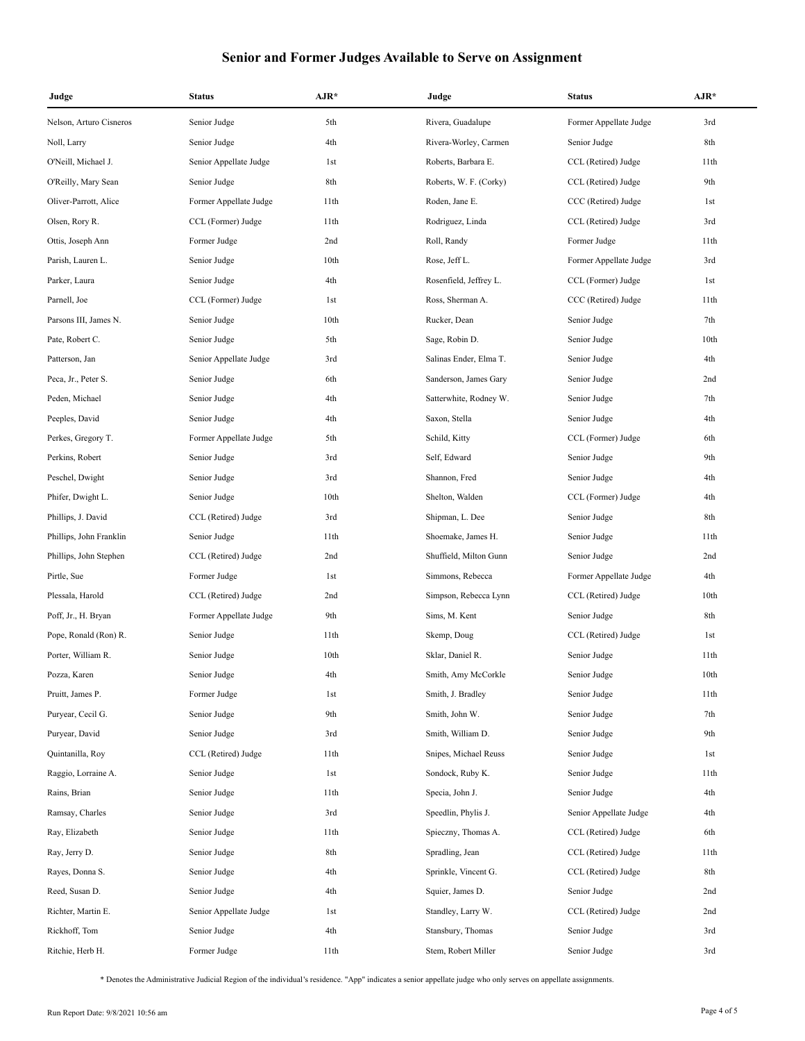| Judge                   | <b>Status</b>          | $AJR*$ | Judge                  | <b>Status</b>          | $AJR*$ |
|-------------------------|------------------------|--------|------------------------|------------------------|--------|
| Nelson, Arturo Cisneros | Senior Judge           | 5th    | Rivera, Guadalupe      | Former Appellate Judge | 3rd    |
| Noll, Larry             | Senior Judge           | 4th    | Rivera-Worley, Carmen  | Senior Judge           | 8th    |
| O'Neill, Michael J.     | Senior Appellate Judge | 1st    | Roberts, Barbara E.    | CCL (Retired) Judge    | 11th   |
| O'Reilly, Mary Sean     | Senior Judge           | 8th    | Roberts, W. F. (Corky) | CCL (Retired) Judge    | 9th    |
| Oliver-Parrott, Alice   | Former Appellate Judge | 11th   | Roden, Jane E.         | CCC (Retired) Judge    | 1st    |
| Olsen, Rory R.          | CCL (Former) Judge     | 11th   | Rodriguez, Linda       | CCL (Retired) Judge    | 3rd    |
| Ottis, Joseph Ann       | Former Judge           | 2nd    | Roll, Randy            | Former Judge           | 11th   |
| Parish, Lauren L.       | Senior Judge           | 10th   | Rose, Jeff L.          | Former Appellate Judge | 3rd    |
| Parker, Laura           | Senior Judge           | 4th    | Rosenfield, Jeffrey L. | CCL (Former) Judge     | 1st    |
| Parnell, Joe            | CCL (Former) Judge     | 1st    | Ross, Sherman A.       | CCC (Retired) Judge    | 11th   |
| Parsons III, James N.   | Senior Judge           | 10th   | Rucker, Dean           | Senior Judge           | 7th    |
| Pate, Robert C.         | Senior Judge           | 5th    | Sage, Robin D.         | Senior Judge           | 10th   |
| Patterson, Jan          | Senior Appellate Judge | 3rd    | Salinas Ender, Elma T. | Senior Judge           | 4th    |
| Peca, Jr., Peter S.     | Senior Judge           | 6th    | Sanderson, James Gary  | Senior Judge           | 2nd    |
| Peden, Michael          | Senior Judge           | 4th    | Satterwhite, Rodney W. | Senior Judge           | 7th    |
| Peeples, David          | Senior Judge           | 4th    | Saxon, Stella          | Senior Judge           | 4th    |
| Perkes, Gregory T.      | Former Appellate Judge | 5th    | Schild, Kitty          | CCL (Former) Judge     | 6th    |
| Perkins, Robert         | Senior Judge           | 3rd    | Self, Edward           | Senior Judge           | 9th    |
| Peschel, Dwight         | Senior Judge           | 3rd    | Shannon, Fred          | Senior Judge           | 4th    |
| Phifer, Dwight L.       | Senior Judge           | 10th   | Shelton, Walden        | CCL (Former) Judge     | 4th    |
| Phillips, J. David      | CCL (Retired) Judge    | 3rd    | Shipman, L. Dee        | Senior Judge           | 8th    |
| Phillips, John Franklin | Senior Judge           | 11th   | Shoemake, James H.     | Senior Judge           | 11th   |
| Phillips, John Stephen  | CCL (Retired) Judge    | 2nd    | Shuffield, Milton Gunn | Senior Judge           | 2nd    |
| Pirtle, Sue             | Former Judge           | 1st    | Simmons, Rebecca       | Former Appellate Judge | 4th    |
| Plessala, Harold        | CCL (Retired) Judge    | 2nd    | Simpson, Rebecca Lynn  | CCL (Retired) Judge    | 10th   |
| Poff, Jr., H. Bryan     | Former Appellate Judge | 9th    | Sims, M. Kent          | Senior Judge           | 8th    |
| Pope, Ronald (Ron) R.   | Senior Judge           | 11th   | Skemp, Doug            | CCL (Retired) Judge    | 1st    |
| Porter, William R.      | Senior Judge           | 10th   | Sklar, Daniel R.       | Senior Judge           | 11th   |
| Pozza, Karen            | Senior Judge           | 4th    | Smith, Amy McCorkle    | Senior Judge           | 10th   |
| Pruitt, James P.        | Former Judge           | 1st    | Smith, J. Bradley      | Senior Judge           | 11th   |
| Puryear, Cecil G.       | Senior Judge           | 9th    | Smith, John W.         | Senior Judge           | 7th    |
| Puryear, David          | Senior Judge           | 3rd    | Smith, William D.      | Senior Judge           | 9th    |
| Quintanilla, Roy        | CCL (Retired) Judge    | 11th   | Snipes, Michael Reuss  | Senior Judge           | 1st    |
| Raggio, Lorraine A.     | Senior Judge           | 1st    | Sondock, Ruby K.       | Senior Judge           | 11th   |
| Rains, Brian            | Senior Judge           | 11th   | Specia, John J.        | Senior Judge           | 4th    |
| Ramsay, Charles         | Senior Judge           | 3rd    | Speedlin, Phylis J.    | Senior Appellate Judge | 4th    |
| Ray, Elizabeth          | Senior Judge           | 11th   | Spieczny, Thomas A.    | CCL (Retired) Judge    | 6th    |
| Ray, Jerry D.           | Senior Judge           | 8th    | Spradling, Jean        | CCL (Retired) Judge    | 11th   |
| Rayes, Donna S.         | Senior Judge           | 4th    | Sprinkle, Vincent G.   | CCL (Retired) Judge    | 8th    |
| Reed, Susan D.          | Senior Judge           | 4th    | Squier, James D.       | Senior Judge           | 2nd    |
| Richter, Martin E.      | Senior Appellate Judge | 1st    | Standley, Larry W.     | CCL (Retired) Judge    | 2nd    |
| Rickhoff, Tom           | Senior Judge           | 4th    | Stansbury, Thomas      | Senior Judge           | 3rd    |
| Ritchie, Herb H.        | Former Judge           | 11th   | Stem, Robert Miller    | Senior Judge           | 3rd    |